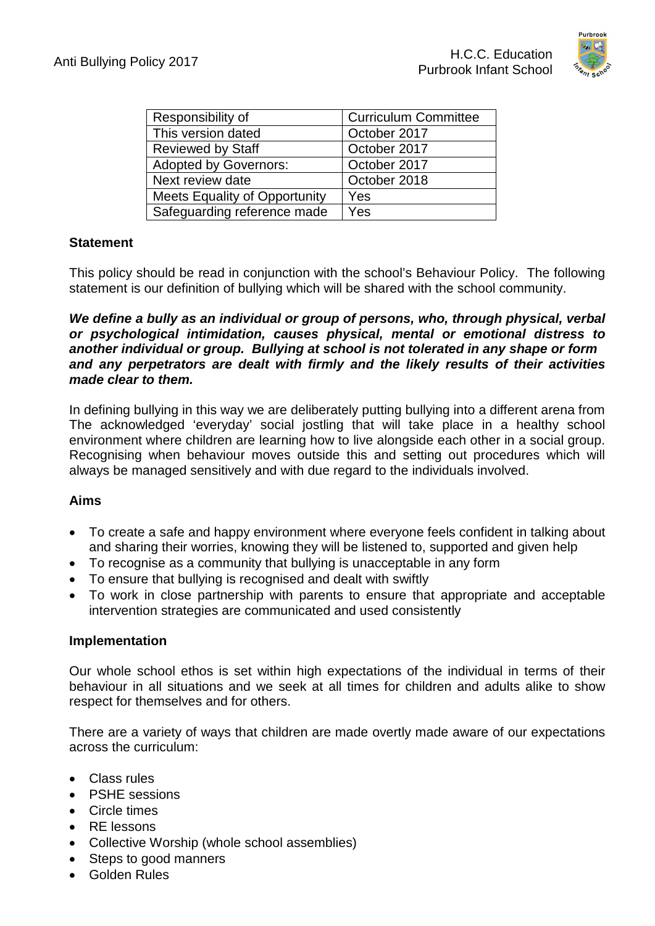

| Responsibility of                    | <b>Curriculum Committee</b> |
|--------------------------------------|-----------------------------|
| This version dated                   | October 2017                |
| <b>Reviewed by Staff</b>             | October 2017                |
| <b>Adopted by Governors:</b>         | October 2017                |
| Next review date                     | October 2018                |
| <b>Meets Equality of Opportunity</b> | Yes                         |
| Safeguarding reference made          | Yes                         |

## **Statement**

This policy should be read in conjunction with the school's Behaviour Policy. The following statement is our definition of bullying which will be shared with the school community.

*We define a bully as an individual or group of persons, who, through physical, verbal or psychological intimidation, causes physical, mental or emotional distress to another individual or group. Bullying at school is not tolerated in any shape or form and any perpetrators are dealt with firmly and the likely results of their activities made clear to them.*

In defining bullying in this way we are deliberately putting bullying into a different arena from The acknowledged 'everyday' social jostling that will take place in a healthy school environment where children are learning how to live alongside each other in a social group. Recognising when behaviour moves outside this and setting out procedures which will always be managed sensitively and with due regard to the individuals involved.

## **Aims**

- To create a safe and happy environment where everyone feels confident in talking about and sharing their worries, knowing they will be listened to, supported and given help
- To recognise as a community that bullying is unacceptable in any form
- To ensure that bullying is recognised and dealt with swiftly
- To work in close partnership with parents to ensure that appropriate and acceptable intervention strategies are communicated and used consistently

## **Implementation**

Our whole school ethos is set within high expectations of the individual in terms of their behaviour in all situations and we seek at all times for children and adults alike to show respect for themselves and for others.

There are a variety of ways that children are made overtly made aware of our expectations across the curriculum:

- Class rules
- PSHE sessions
- Circle times
- RE lessons
- Collective Worship (whole school assemblies)
- Steps to good manners
- Golden Rules